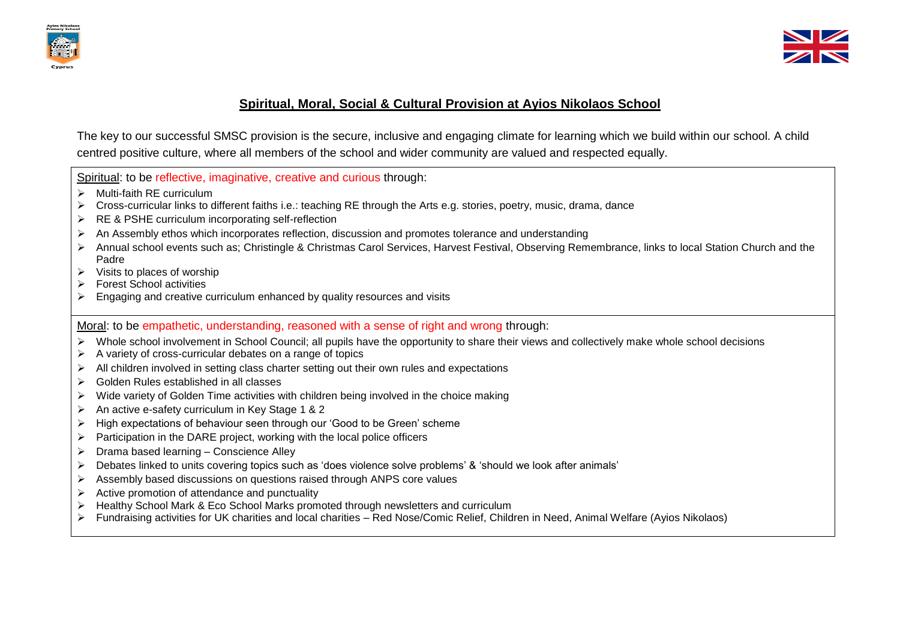



## **Spiritual, Moral, Social & Cultural Provision at Ayios Nikolaos School**

The key to our successful SMSC provision is the secure, inclusive and engaging climate for learning which we build within our school. A child centred positive culture, where all members of the school and wider community are valued and respected equally.

Spiritual: to be reflective, imaginative, creative and curious through:

- $\triangleright$  Multi-faith RE curriculum
- Cross-curricular links to different faiths i.e.: teaching RE through the Arts e.g. stories, poetry, music, drama, dance
- **EXECTE** curriculum incorporating self-reflection
- $\triangleright$  An Assembly ethos which incorporates reflection, discussion and promotes tolerance and understanding
- Annual school events such as; Christingle & Christmas Carol Services, Harvest Festival, Observing Remembrance, links to local Station Church and the Padre
- $\triangleright$  Visits to places of worship
- $\triangleright$  Forest School activities
- $\triangleright$  Engaging and creative curriculum enhanced by quality resources and visits

Moral: to be empathetic, understanding, reasoned with a sense of right and wrong through:

- ▶ Whole school involvement in School Council; all pupils have the opportunity to share their views and collectively make whole school decisions
- $\triangleright$  A variety of cross-curricular debates on a range of topics
- $\triangleright$  All children involved in setting class charter setting out their own rules and expectations
- Golden Rules established in all classes
- $\triangleright$  Wide variety of Golden Time activities with children being involved in the choice making
- $\triangleright$  An active e-safety curriculum in Key Stage 1 & 2
- $\triangleright$  High expectations of behaviour seen through our 'Good to be Green' scheme
- $\triangleright$  Participation in the DARE project, working with the local police officers
- $\triangleright$  Drama based learning Conscience Alley
- > Debates linked to units covering topics such as 'does violence solve problems' & 'should we look after animals'
- $\triangleright$  Assembly based discussions on questions raised through ANPS core values
- $\triangleright$  Active promotion of attendance and punctuality
- $\triangleright$  Healthy School Mark & Eco School Marks promoted through newsletters and curriculum
- Fundraising activities for UK charities and local charities Red Nose/Comic Relief, Children in Need, Animal Welfare (Ayios Nikolaos)